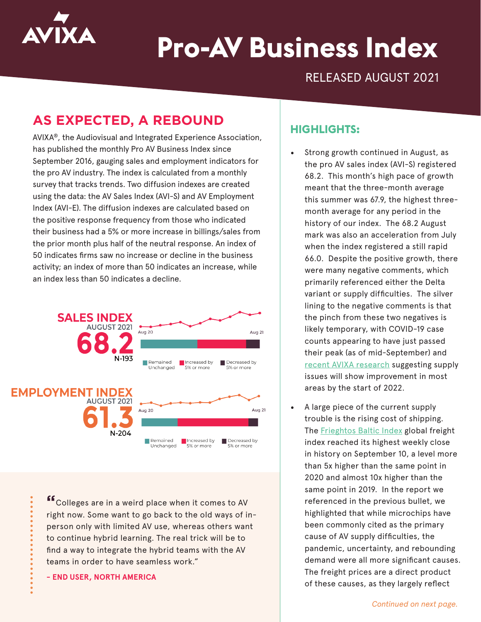

# **Pro-AV Business Index**

RELEASED AUGUST 2021

# **AS EXPECTED, A REBOUND**

AVIXA®, the Audiovisual and Integrated Experience Association, has published the monthly Pro AV Business Index since September 2016, gauging sales and employment indicators for the pro AV industry. The index is calculated from a monthly survey that tracks trends. Two diffusion indexes are created using the data: the AV Sales Index (AVI-S) and AV Employment Index (AVI-E). The diffusion indexes are calculated based on the positive response frequency from those who indicated their business had a 5% or more increase in billings/sales from the prior month plus half of the neutral response. An index of 50 indicates firms saw no increase or decline in the business activity; an index of more than 50 indicates an increase, while an index less than 50 indicates a decline.



**"**Colleges are in a weird place when it comes to AV right now. Some want to go back to the old ways of inperson only with limited AV use, whereas others want to continue hybrid learning. The real trick will be to find a way to integrate the hybrid teams with the AV teams in order to have seamless work."

**- END USER, NORTH AMERICA**

#### **HIGHLIGHTS:**

- Strong growth continued in August, as the pro AV sales index (AVI-S) registered 68.2. This month's high pace of growth meant that the three-month average this summer was 67.9, the highest threemonth average for any period in the history of our index. The 68.2 August mark was also an acceleration from July when the index registered a still rapid 66.0. Despite the positive growth, there were many negative comments, which primarily referenced either the Delta variant or supply difficulties. The silver lining to the negative comments is that the pinch from these two negatives is likely temporary, with COVID-19 case counts appearing to have just passed their peak (as of mid-September) and [recent AVIXA research](https://www.avixa.org/market-intelligence/meta) suggesting supply issues will show improvement in most areas by the start of 2022.
- A large piece of the current supply trouble is the rising cost of shipping. The **Frieghtos Baltic Index** global freight index reached its highest weekly close in history on September 10, a level more than 5x higher than the same point in 2020 and almost 10x higher than the same point in 2019. In the report we referenced in the previous bullet, we highlighted that while microchips have been commonly cited as the primary cause of AV supply difficulties, the pandemic, uncertainty, and rebounding demand were all more significant causes. The freight prices are a direct product of these causes, as they largely reflect

*Continued on next page.*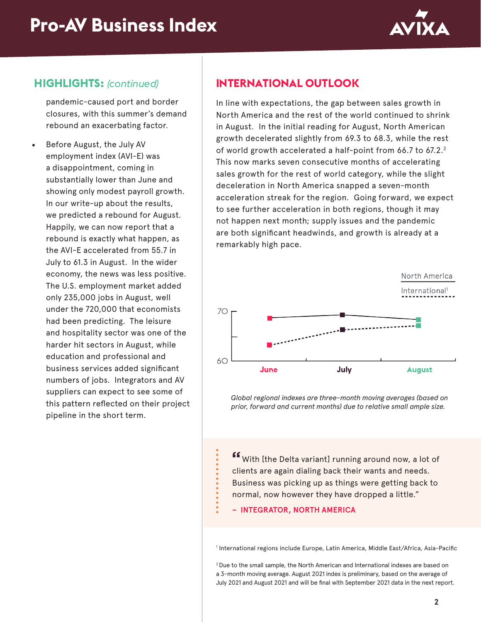

# **HIGHLIGHTS:** *(continued)*

pandemic-caused port and border closures, with this summer's demand rebound an exacerbating factor.

• Before August, the July AV employment index (AVI-E) was a disappointment, coming in substantially lower than June and showing only modest payroll growth. In our write-up about the results, we predicted a rebound for August. Happily, we can now report that a rebound is exactly what happen, as the AVI-E accelerated from 55.7 in July to 61.3 in August. In the wider economy, the news was less positive. The U.S. employment market added only 235,000 jobs in August, well under the 720,000 that economists had been predicting. The leisure and hospitality sector was one of the harder hit sectors in August, while education and professional and business services added significant numbers of jobs. Integrators and AV suppliers can expect to see some of this pattern reflected on their project pipeline in the short term.

# **INTERNATIONAL OUTLOOK**

In line with expectations, the gap between sales growth in North America and the rest of the world continued to shrink in August. In the initial reading for August, North American growth decelerated slightly from 69.3 to 68.3, while the rest of world growth accelerated a half-point from 66.7 to 67.2.<sup>2</sup> This now marks seven consecutive months of accelerating sales growth for the rest of world category, while the slight deceleration in North America snapped a seven-month acceleration streak for the region. Going forward, we expect to see further acceleration in both regions, though it may not happen next month; supply issues and the pandemic are both significant headwinds, and growth is already at a remarkably high pace.



*Global regional indexes are three-month moving averages (based on prior, forward and current months) due to relative small ample size.*

**"**With [the Delta variant] running around now, a lot of clients are again dialing back their wants and needs. Business was picking up as things were getting back to normal, now however they have dropped a little."

#### **– INTEGRATOR, NORTH AMERICA**

1 International regions include Europe, Latin America, Middle East/Africa, Asia-Pacific

2 Due to the small sample, the North American and International indexes are based on a 3-month moving average. August 2021 index is preliminary, based on the average of July 2021 and August 2021 and will be final with September 2021 data in the next report.